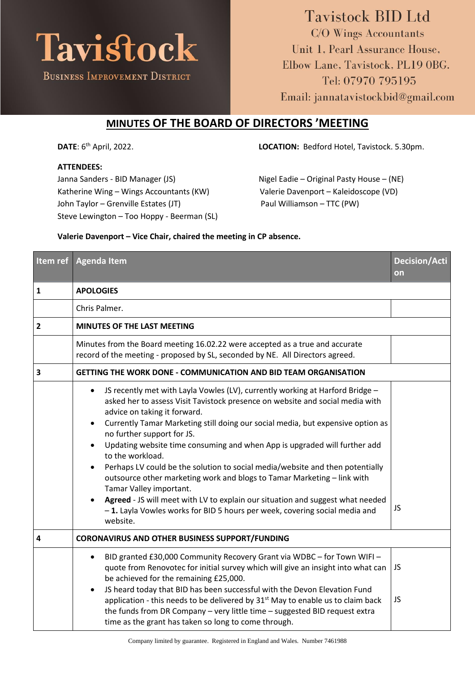

## **Tavistock BID Ltd** C/O Wings Accountants Unit 1, Pearl Assurance House, Elbow Lane, Tavistock, PL19 OBG. Tel: 07970 795195 Email: jannatavistockbid@gmail.com

## **MINUTES OF THE BOARD OF DIRECTORS 'MEETING**

**DATE**: 6<sup>th</sup> April, 2022.

## **ATTENDEES:**

Janna Sanders - BID Manager (JS) Nigel Eadie – Original Pasty House – (NE) Katherine Wing – Wings Accountants (KW) Valerie Davenport – Kaleidoscope (VD) John Taylor – Grenville Estates (JT) Paul Williamson – TTC (PW) Steve Lewington – Too Hoppy - Beerman (SL)

LOCATION: Bedford Hotel, Tavistock. 5.30pm.

## **Valerie Davenport – Vice Chair, chaired the meeting in CP absence.**

| Item ref                | <b>Agenda Item</b>                                                                                                                                                                                                                                                                                                                                                                                                                                                                                                                                                                                                                                                                                                                                                                                                                      | <b>Decision/Acti</b><br>on |
|-------------------------|-----------------------------------------------------------------------------------------------------------------------------------------------------------------------------------------------------------------------------------------------------------------------------------------------------------------------------------------------------------------------------------------------------------------------------------------------------------------------------------------------------------------------------------------------------------------------------------------------------------------------------------------------------------------------------------------------------------------------------------------------------------------------------------------------------------------------------------------|----------------------------|
| $\mathbf{1}$            | <b>APOLOGIES</b>                                                                                                                                                                                                                                                                                                                                                                                                                                                                                                                                                                                                                                                                                                                                                                                                                        |                            |
|                         | Chris Palmer.                                                                                                                                                                                                                                                                                                                                                                                                                                                                                                                                                                                                                                                                                                                                                                                                                           |                            |
| $\overline{2}$          | MINUTES OF THE LAST MEETING                                                                                                                                                                                                                                                                                                                                                                                                                                                                                                                                                                                                                                                                                                                                                                                                             |                            |
|                         | Minutes from the Board meeting 16.02.22 were accepted as a true and accurate<br>record of the meeting - proposed by SL, seconded by NE. All Directors agreed.                                                                                                                                                                                                                                                                                                                                                                                                                                                                                                                                                                                                                                                                           |                            |
| 3                       | <b>GETTING THE WORK DONE - COMMUNICATION AND BID TEAM ORGANISATION</b>                                                                                                                                                                                                                                                                                                                                                                                                                                                                                                                                                                                                                                                                                                                                                                  |                            |
|                         | JS recently met with Layla Vowles (LV), currently working at Harford Bridge -<br>$\bullet$<br>asked her to assess Visit Tavistock presence on website and social media with<br>advice on taking it forward.<br>Currently Tamar Marketing still doing our social media, but expensive option as<br>$\bullet$<br>no further support for JS.<br>Updating website time consuming and when App is upgraded will further add<br>$\bullet$<br>to the workload.<br>Perhaps LV could be the solution to social media/website and then potentially<br>$\bullet$<br>outsource other marketing work and blogs to Tamar Marketing - link with<br>Tamar Valley important.<br>Agreed - JS will meet with LV to explain our situation and suggest what needed<br>-1. Layla Vowles works for BID 5 hours per week, covering social media and<br>website. | JS                         |
| $\overline{\mathbf{4}}$ | <b>CORONAVIRUS AND OTHER BUSINESS SUPPORT/FUNDING</b>                                                                                                                                                                                                                                                                                                                                                                                                                                                                                                                                                                                                                                                                                                                                                                                   |                            |
|                         | BID granted £30,000 Community Recovery Grant via WDBC - for Town WIFI -<br>$\bullet$<br>quote from Renovotec for initial survey which will give an insight into what can<br>be achieved for the remaining £25,000.<br>JS heard today that BID has been successful with the Devon Elevation Fund<br>$\bullet$<br>application - this needs to be delivered by 31 <sup>st</sup> May to enable us to claim back<br>the funds from DR Company - very little time - suggested BID request extra<br>time as the grant has taken so long to come through.                                                                                                                                                                                                                                                                                       | JS<br><b>JS</b>            |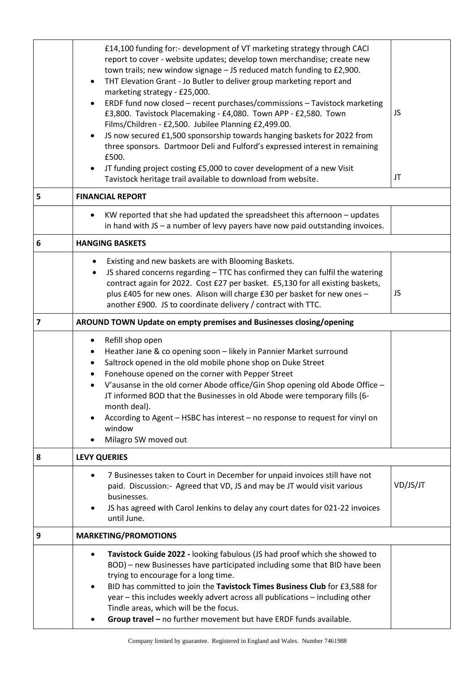|   | £14,100 funding for:- development of VT marketing strategy through CACI<br>report to cover - website updates; develop town merchandise; create new<br>town trails; new window signage - JS reduced match funding to £2,900.<br>THT Elevation Grant - Jo Butler to deliver group marketing report and<br>marketing strategy - £25,000.<br>ERDF fund now closed - recent purchases/commissions - Tavistock marketing<br>£3,800. Tavistock Placemaking - £4,080. Town APP - £2,580. Town<br>Films/Children - £2,500. Jubilee Planning £2,499.00.<br>JS now secured £1,500 sponsorship towards hanging baskets for 2022 from<br>three sponsors. Dartmoor Deli and Fulford's expressed interest in remaining<br>£500.<br>JT funding project costing £5,000 to cover development of a new Visit<br>Tavistock heritage trail available to download from website. | JS<br>JT |  |
|---|-----------------------------------------------------------------------------------------------------------------------------------------------------------------------------------------------------------------------------------------------------------------------------------------------------------------------------------------------------------------------------------------------------------------------------------------------------------------------------------------------------------------------------------------------------------------------------------------------------------------------------------------------------------------------------------------------------------------------------------------------------------------------------------------------------------------------------------------------------------|----------|--|
| 5 | <b>FINANCIAL REPORT</b>                                                                                                                                                                                                                                                                                                                                                                                                                                                                                                                                                                                                                                                                                                                                                                                                                                   |          |  |
|   | KW reported that she had updated the spreadsheet this afternoon - updates<br>in hand with JS - a number of levy payers have now paid outstanding invoices.                                                                                                                                                                                                                                                                                                                                                                                                                                                                                                                                                                                                                                                                                                |          |  |
| 6 | <b>HANGING BASKETS</b>                                                                                                                                                                                                                                                                                                                                                                                                                                                                                                                                                                                                                                                                                                                                                                                                                                    |          |  |
|   | Existing and new baskets are with Blooming Baskets.<br>JS shared concerns regarding - TTC has confirmed they can fulfil the watering<br>$\bullet$<br>contract again for 2022. Cost £27 per basket. £5,130 for all existing baskets,<br>plus £405 for new ones. Alison will charge £30 per basket for new ones -<br>another £900. JS to coordinate delivery / contract with TTC.                                                                                                                                                                                                                                                                                                                                                                                                                                                                           | JS       |  |
| 7 | AROUND TOWN Update on empty premises and Businesses closing/opening                                                                                                                                                                                                                                                                                                                                                                                                                                                                                                                                                                                                                                                                                                                                                                                       |          |  |
|   | Refill shop open<br>Heather Jane & co opening soon - likely in Pannier Market surround<br>Saltrock opened in the old mobile phone shop on Duke Street<br>Fonehouse opened on the corner with Pepper Street<br>V'ausanse in the old corner Abode office/Gin Shop opening old Abode Office -<br>JT informed BOD that the Businesses in old Abode were temporary fills (6-<br>month deal).<br>According to Agent - HSBC has interest - no response to request for vinyl on<br>window<br>Milagro SW moved out                                                                                                                                                                                                                                                                                                                                                 |          |  |
| 8 | <b>LEVY QUERIES</b>                                                                                                                                                                                                                                                                                                                                                                                                                                                                                                                                                                                                                                                                                                                                                                                                                                       |          |  |
|   | 7 Businesses taken to Court in December for unpaid invoices still have not<br>paid. Discussion:- Agreed that VD, JS and may be JT would visit various<br>businesses.<br>JS has agreed with Carol Jenkins to delay any court dates for 021-22 invoices<br>until June.                                                                                                                                                                                                                                                                                                                                                                                                                                                                                                                                                                                      | VD/JS/JT |  |
| 9 | <b>MARKETING/PROMOTIONS</b>                                                                                                                                                                                                                                                                                                                                                                                                                                                                                                                                                                                                                                                                                                                                                                                                                               |          |  |
|   | Tavistock Guide 2022 - looking fabulous (JS had proof which she showed to<br>BOD) - new Businesses have participated including some that BID have been<br>trying to encourage for a long time.<br>BID has committed to join the Tavistock Times Business Club for £3,588 for<br>year - this includes weekly advert across all publications - including other<br>Tindle areas, which will be the focus.<br>Group travel - no further movement but have ERDF funds available.                                                                                                                                                                                                                                                                                                                                                                               |          |  |